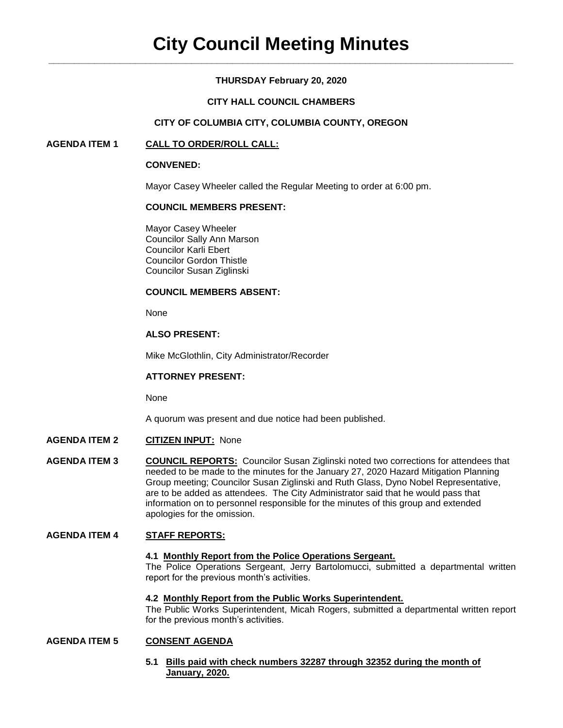# **THURSDAY February 20, 2020**

# **CITY HALL COUNCIL CHAMBERS**

# **CITY OF COLUMBIA CITY, COLUMBIA COUNTY, OREGON**

# **AGENDA ITEM 1 CALL TO ORDER/ROLL CALL:**

### **CONVENED:**

Mayor Casey Wheeler called the Regular Meeting to order at 6:00 pm.

### **COUNCIL MEMBERS PRESENT:**

Mayor Casey Wheeler Councilor Sally Ann Marson Councilor Karli Ebert Councilor Gordon Thistle Councilor Susan Ziglinski

### **COUNCIL MEMBERS ABSENT:**

None

# **ALSO PRESENT:**

Mike McGlothlin, City Administrator/Recorder

# **ATTORNEY PRESENT:**

None

A quorum was present and due notice had been published.

- **AGENDA ITEM 2 CITIZEN INPUT:** None
- **AGENDA ITEM 3 COUNCIL REPORTS:** Councilor Susan Ziglinski noted two corrections for attendees that needed to be made to the minutes for the January 27, 2020 Hazard Mitigation Planning Group meeting; Councilor Susan Ziglinski and Ruth Glass, Dyno Nobel Representative, are to be added as attendees. The City Administrator said that he would pass that information on to personnel responsible for the minutes of this group and extended apologies for the omission.

# **AGENDA ITEM 4 STAFF REPORTS:**

#### **4.1 Monthly Report from the Police Operations Sergeant.**

The Police Operations Sergeant, Jerry Bartolomucci, submitted a departmental written report for the previous month's activities.

#### **4.2 Monthly Report from the Public Works Superintendent.**

The Public Works Superintendent, Micah Rogers, submitted a departmental written report for the previous month's activities.

#### **AGENDA ITEM 5 CONSENT AGENDA**

**5.1 Bills paid with check numbers 32287 through 32352 during the month of January, 2020.**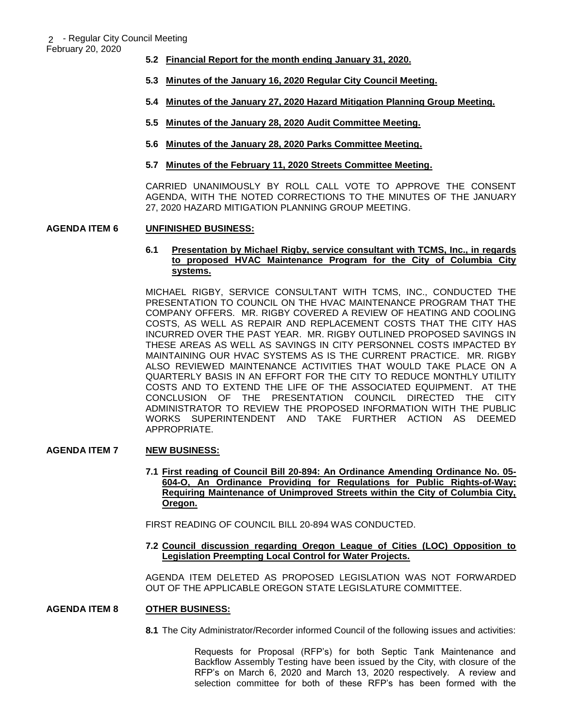February 20, 2020

- **5.2 Financial Report for the month ending January 31, 2020.**
- **5.3 Minutes of the January 16, 2020 Regular City Council Meeting.**
- **5.4 Minutes of the January 27, 2020 Hazard Mitigation Planning Group Meeting.**
- **5.5 Minutes of the January 28, 2020 Audit Committee Meeting.**
- **5.6 Minutes of the January 28, 2020 Parks Committee Meeting.**
- **5.7 Minutes of the February 11, 2020 Streets Committee Meeting.**

CARRIED UNANIMOUSLY BY ROLL CALL VOTE TO APPROVE THE CONSENT AGENDA, WITH THE NOTED CORRECTIONS TO THE MINUTES OF THE JANUARY 27, 2020 HAZARD MITIGATION PLANNING GROUP MEETING.

# **AGENDA ITEM 6 UNFINISHED BUSINESS:**

### **6.1 Presentation by Michael Rigby, service consultant with TCMS, Inc., in regards to proposed HVAC Maintenance Program for the City of Columbia City systems.**

MICHAEL RIGBY, SERVICE CONSULTANT WITH TCMS, INC., CONDUCTED THE PRESENTATION TO COUNCIL ON THE HVAC MAINTENANCE PROGRAM THAT THE COMPANY OFFERS. MR. RIGBY COVERED A REVIEW OF HEATING AND COOLING COSTS, AS WELL AS REPAIR AND REPLACEMENT COSTS THAT THE CITY HAS INCURRED OVER THE PAST YEAR. MR. RIGBY OUTLINED PROPOSED SAVINGS IN THESE AREAS AS WELL AS SAVINGS IN CITY PERSONNEL COSTS IMPACTED BY MAINTAINING OUR HVAC SYSTEMS AS IS THE CURRENT PRACTICE. MR. RIGBY ALSO REVIEWED MAINTENANCE ACTIVITIES THAT WOULD TAKE PLACE ON A QUARTERLY BASIS IN AN EFFORT FOR THE CITY TO REDUCE MONTHLY UTILITY COSTS AND TO EXTEND THE LIFE OF THE ASSOCIATED EQUIPMENT. AT THE CONCLUSION OF THE PRESENTATION COUNCIL DIRECTED THE CITY ADMINISTRATOR TO REVIEW THE PROPOSED INFORMATION WITH THE PUBLIC WORKS SUPERINTENDENT AND TAKE FURTHER ACTION AS DEEMED APPROPRIATE.

# **AGENDA ITEM 7 NEW BUSINESS:**

**7.1 First reading of Council Bill 20-894: An Ordinance Amending Ordinance No. 05- 604-O, An Ordinance Providing for Regulations for Public Rights-of-Way; Requiring Maintenance of Unimproved Streets within the City of Columbia City, Oregon.** 

FIRST READING OF COUNCIL BILL 20-894 WAS CONDUCTED.

**7.2 Council discussion regarding Oregon League of Cities (LOC) Opposition to Legislation Preempting Local Control for Water Projects.**

AGENDA ITEM DELETED AS PROPOSED LEGISLATION WAS NOT FORWARDED OUT OF THE APPLICABLE OREGON STATE LEGISLATURE COMMITTEE.

# **AGENDA ITEM 8 OTHER BUSINESS:**

**8.1** The City Administrator/Recorder informed Council of the following issues and activities:

Requests for Proposal (RFP's) for both Septic Tank Maintenance and Backflow Assembly Testing have been issued by the City, with closure of the RFP's on March 6, 2020 and March 13, 2020 respectively. A review and selection committee for both of these RFP's has been formed with the